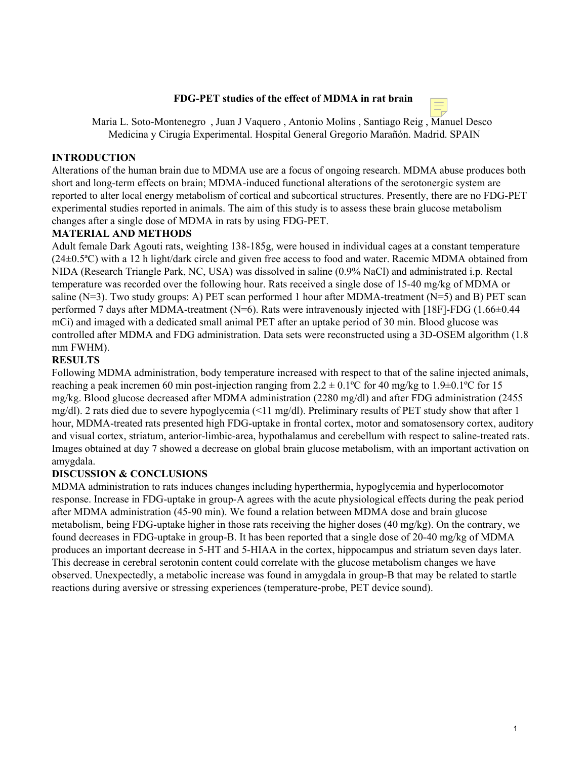#### **FDG-PET studies of the effect of MDMA in rat brain**



Maria L. Soto-Montenegro , Juan J Vaquero , Antonio Molins , Santiago Reig , Manuel Desco Medicina y Cirugía Experimental. Hospital General Gregorio Marañón. Madrid. SPAIN

#### **INTRODUCTION**

Alterations of the human brain due to MDMA use are a focus of ongoing research. MDMA abuse produces both short and long-term effects on brain; MDMA-induced functional alterations of the serotonergic system are reported to alter local energy metabolism of cortical and subcortical structures. Presently, there are no FDG-PET experimental studies reported in animals. The aim of this study is to assess these brain glucose metabolism changes after a single dose of MDMA in rats by using FDG-PET.

## **MATERIAL AND METHODS**

Adult female Dark Agouti rats, weighting 138-185g, were housed in individual cages at a constant temperature (24±0.5ªC) with a 12 h light/dark circle and given free access to food and water. Racemic MDMA obtained from NIDA (Research Triangle Park, NC, USA) was dissolved in saline (0.9% NaCl) and administrated i.p. Rectal temperature was recorded over the following hour. Rats received a single dose of 15-40 mg/kg of MDMA or saline ( $N=3$ ). Two study groups: A) PET scan performed 1 hour after MDMA-treatment ( $N=5$ ) and B) PET scan performed 7 days after MDMA-treatment (N=6). Rats were intravenously injected with [18F]-FDG (1.66±0.44 mCi) and imaged with a dedicated small animal PET after an uptake period of 30 min. Blood glucose was controlled after MDMA and FDG administration. Data sets were reconstructed using a 3D-OSEM algorithm (1.8 mm FWHM).

## **RESULTS**

Following MDMA administration, body temperature increased with respect to that of the saline injected animals, reaching a peak incremen 60 min post-injection ranging from  $2.2 \pm 0.1^{\circ}\text{C}$  for 40 mg/kg to  $1.9 \pm 0.1^{\circ}\text{C}$  for 15 mg/kg. Blood glucose decreased after MDMA administration (2280 mg/dl) and after FDG administration (2455 mg/dl). 2 rats died due to severe hypoglycemia (<11 mg/dl). Preliminary results of PET study show that after 1 hour, MDMA-treated rats presented high FDG-uptake in frontal cortex, motor and somatosensory cortex, auditory and visual cortex, striatum, anterior-limbic-area, hypothalamus and cerebellum with respect to saline-treated rats. Images obtained at day 7 showed a decrease on global brain glucose metabolism, with an important activation on amygdala.

# **DISCUSSION & CONCLUSIONS**

MDMA administration to rats induces changes including hyperthermia, hypoglycemia and hyperlocomotor response. Increase in FDG-uptake in group-A agrees with the acute physiological effects during the peak period after MDMA administration (45-90 min). We found a relation between MDMA dose and brain glucose metabolism, being FDG-uptake higher in those rats receiving the higher doses (40 mg/kg). On the contrary, we found decreases in FDG-uptake in group-B. It has been reported that a single dose of 20-40 mg/kg of MDMA produces an important decrease in 5-HT and 5-HIAA in the cortex, hippocampus and striatum seven days later. This decrease in cerebral serotonin content could correlate with the glucose metabolism changes we have observed. Unexpectedly, a metabolic increase was found in amygdala in group-B that may be related to startle reactions during aversive or stressing experiences (temperature-probe, PET device sound).